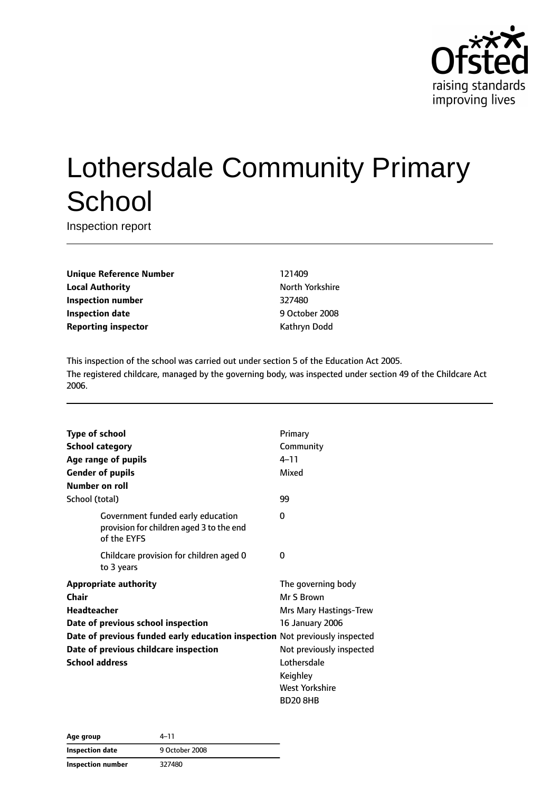

# Lothersdale Community Primary **School**

Inspection report

**Unique Reference Number** 121409 **Local Authority North Yorkshire** North Yorkshire **Inspection number** 327480 **Inspection date** 9 October 2008 **Reporting inspector CONFIDENTIAL REPORTING KATHRYING DODGET AT A REPORT OF A REPORT OF A REPORT OF A REPORT OF A REPORT OF A REPORT OF A REPORT OF A REPORT OF A REPORT OF A REPORT OF A REPORT OF A REPORT OF A REPORT OF** 

This inspection of the school was carried out under section 5 of the Education Act 2005. The registered childcare, managed by the governing body, was inspected under section 49 of the Childcare Act 2006.

| <b>Type of school</b>                                                       |                                                                                              | Primary                  |
|-----------------------------------------------------------------------------|----------------------------------------------------------------------------------------------|--------------------------|
|                                                                             | <b>School category</b>                                                                       | Community                |
|                                                                             | Age range of pupils                                                                          | $4 - 11$                 |
|                                                                             | <b>Gender of pupils</b>                                                                      | Mixed                    |
| Number on roll                                                              |                                                                                              |                          |
| School (total)                                                              |                                                                                              | 99                       |
|                                                                             | Government funded early education<br>provision for children aged 3 to the end<br>of the EYFS | 0                        |
|                                                                             | Childcare provision for children aged 0<br>to 3 years                                        | 0                        |
|                                                                             | <b>Appropriate authority</b>                                                                 | The governing body       |
| Chair                                                                       |                                                                                              | Mr S Brown               |
| Headteacher                                                                 |                                                                                              | Mrs Mary Hastings-Trew   |
|                                                                             | Date of previous school inspection                                                           | <b>16 January 2006</b>   |
| Date of previous funded early education inspection Not previously inspected |                                                                                              |                          |
| Date of previous childcare inspection                                       |                                                                                              | Not previously inspected |
| <b>School address</b>                                                       |                                                                                              | Lothersdale              |
|                                                                             |                                                                                              | Keighley                 |
|                                                                             |                                                                                              | West Yorkshire           |
|                                                                             |                                                                                              | <b>BD208HB</b>           |

| Age group         | 4–11           |  |
|-------------------|----------------|--|
| Inspection date   | 9 October 2008 |  |
| Inspection number | 327480         |  |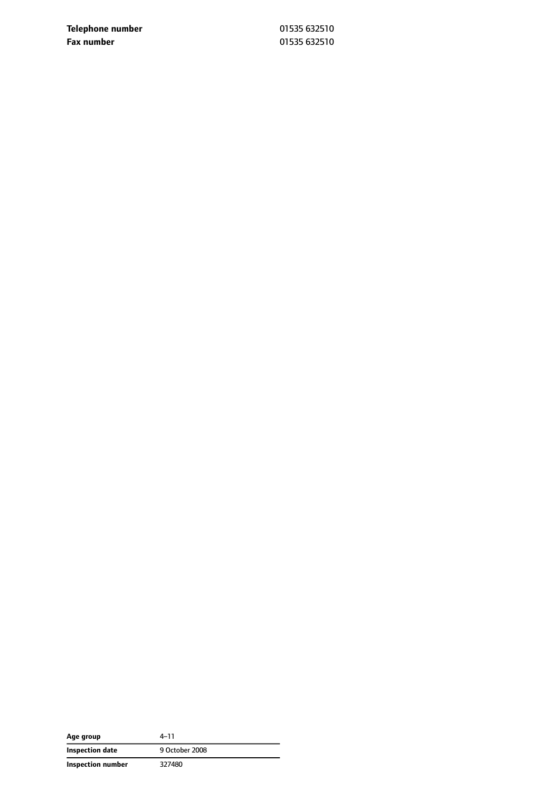**Telephone number** 01535 632510 **Fax number** 01535 632510

| Age group         | 4–11           |
|-------------------|----------------|
| Inspection date   | 9 October 2008 |
| Inspection number | 327480         |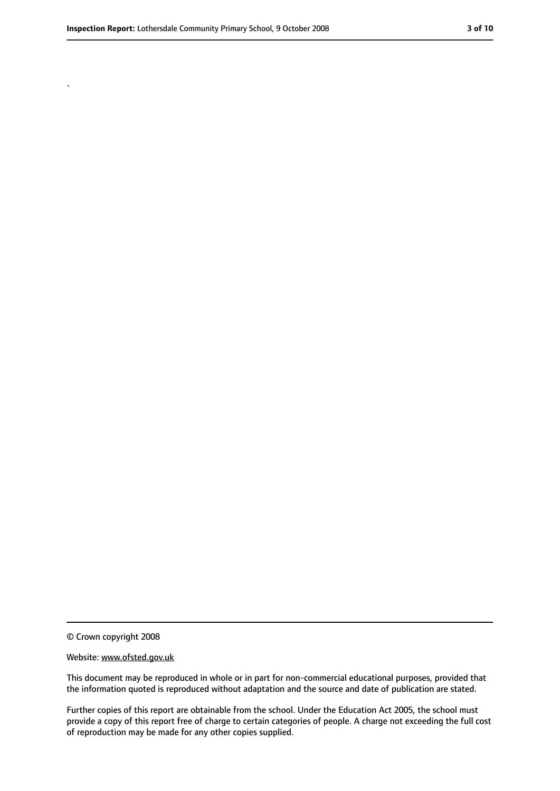.

<sup>©</sup> Crown copyright 2008

Website: www.ofsted.gov.uk

This document may be reproduced in whole or in part for non-commercial educational purposes, provided that the information quoted is reproduced without adaptation and the source and date of publication are stated.

Further copies of this report are obtainable from the school. Under the Education Act 2005, the school must provide a copy of this report free of charge to certain categories of people. A charge not exceeding the full cost of reproduction may be made for any other copies supplied.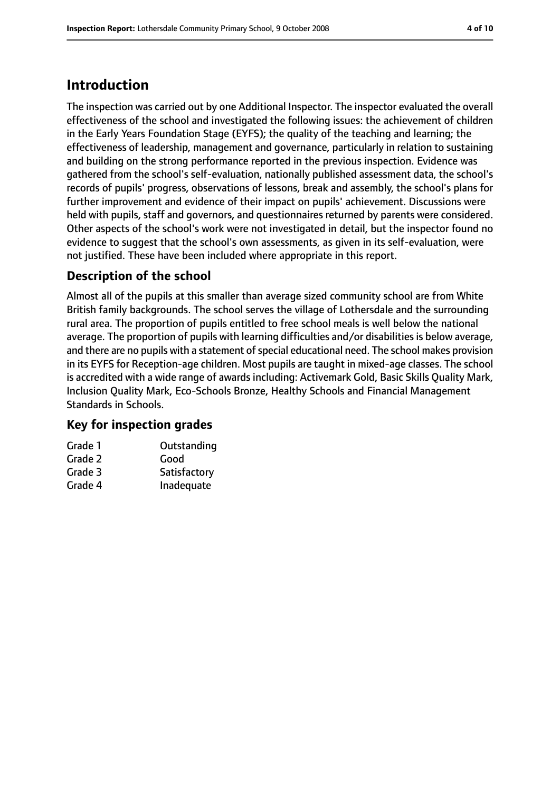## **Introduction**

The inspection was carried out by one Additional Inspector. The inspector evaluated the overall effectiveness of the school and investigated the following issues: the achievement of children in the Early Years Foundation Stage (EYFS); the quality of the teaching and learning; the effectiveness of leadership, management and governance, particularly in relation to sustaining and building on the strong performance reported in the previous inspection. Evidence was gathered from the school's self-evaluation, nationally published assessment data, the school's records of pupils' progress, observations of lessons, break and assembly, the school's plans for further improvement and evidence of their impact on pupils' achievement. Discussions were held with pupils, staff and governors, and questionnaires returned by parents were considered. Other aspects of the school's work were not investigated in detail, but the inspector found no evidence to suggest that the school's own assessments, as given in its self-evaluation, were not justified. These have been included where appropriate in this report.

### **Description of the school**

Almost all of the pupils at this smaller than average sized community school are from White British family backgrounds. The school serves the village of Lothersdale and the surrounding rural area. The proportion of pupils entitled to free school meals is well below the national average. The proportion of pupils with learning difficulties and/or disabilities is below average, and there are no pupils with a statement of special educational need. The school makes provision in its EYFS for Reception-age children. Most pupils are taught in mixed-age classes. The school is accredited with a wide range of awards including: Activemark Gold, Basic Skills Quality Mark, Inclusion Quality Mark, Eco-Schools Bronze, Healthy Schools and Financial Management Standards in Schools.

### **Key for inspection grades**

| Grade 1 | Outstanding  |
|---------|--------------|
| Grade 2 | Good         |
| Grade 3 | Satisfactory |
| Grade 4 | Inadequate   |
|         |              |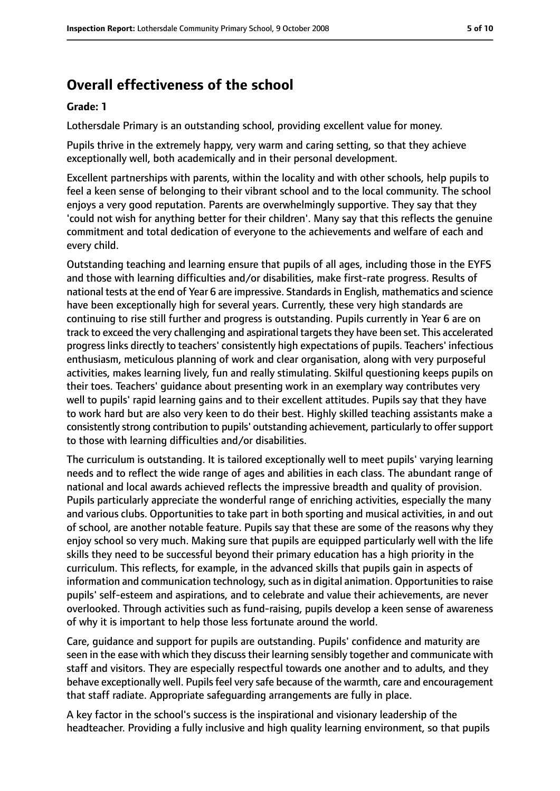# **Overall effectiveness of the school**

#### **Grade: 1**

Lothersdale Primary is an outstanding school, providing excellent value for money.

Pupils thrive in the extremely happy, very warm and caring setting, so that they achieve exceptionally well, both academically and in their personal development.

Excellent partnerships with parents, within the locality and with other schools, help pupils to feel a keen sense of belonging to their vibrant school and to the local community. The school enjoys a very good reputation. Parents are overwhelmingly supportive. They say that they 'could not wish for anything better for their children'. Many say that this reflects the genuine commitment and total dedication of everyone to the achievements and welfare of each and every child.

Outstanding teaching and learning ensure that pupils of all ages, including those in the EYFS and those with learning difficulties and/or disabilities, make first-rate progress. Results of national tests at the end of Year 6 are impressive. Standardsin English, mathematics and science have been exceptionally high for several years. Currently, these very high standards are continuing to rise still further and progress is outstanding. Pupils currently in Year 6 are on track to exceed the very challenging and aspirational targetsthey have been set. This accelerated progress links directly to teachers' consistently high expectations of pupils. Teachers' infectious enthusiasm, meticulous planning of work and clear organisation, along with very purposeful activities, makes learning lively, fun and really stimulating. Skilful questioning keeps pupils on their toes. Teachers' guidance about presenting work in an exemplary way contributes very well to pupils' rapid learning gains and to their excellent attitudes. Pupils say that they have to work hard but are also very keen to do their best. Highly skilled teaching assistants make a consistently strong contribution to pupils' outstanding achievement, particularly to offersupport to those with learning difficulties and/or disabilities.

The curriculum is outstanding. It is tailored exceptionally well to meet pupils' varying learning needs and to reflect the wide range of ages and abilities in each class. The abundant range of national and local awards achieved reflects the impressive breadth and quality of provision. Pupils particularly appreciate the wonderful range of enriching activities, especially the many and various clubs. Opportunities to take part in both sporting and musical activities, in and out of school, are another notable feature. Pupils say that these are some of the reasons why they enjoy school so very much. Making sure that pupils are equipped particularly well with the life skills they need to be successful beyond their primary education has a high priority in the curriculum. This reflects, for example, in the advanced skills that pupils gain in aspects of information and communication technology, such as in digital animation. Opportunities to raise pupils' self-esteem and aspirations, and to celebrate and value their achievements, are never overlooked. Through activities such as fund-raising, pupils develop a keen sense of awareness of why it is important to help those less fortunate around the world.

Care, guidance and support for pupils are outstanding. Pupils' confidence and maturity are seen in the ease with which they discuss their learning sensibly together and communicate with staff and visitors. They are especially respectful towards one another and to adults, and they behave exceptionally well. Pupils feel very safe because of the warmth, care and encouragement that staff radiate. Appropriate safeguarding arrangements are fully in place.

A key factor in the school's success is the inspirational and visionary leadership of the headteacher. Providing a fully inclusive and high quality learning environment, so that pupils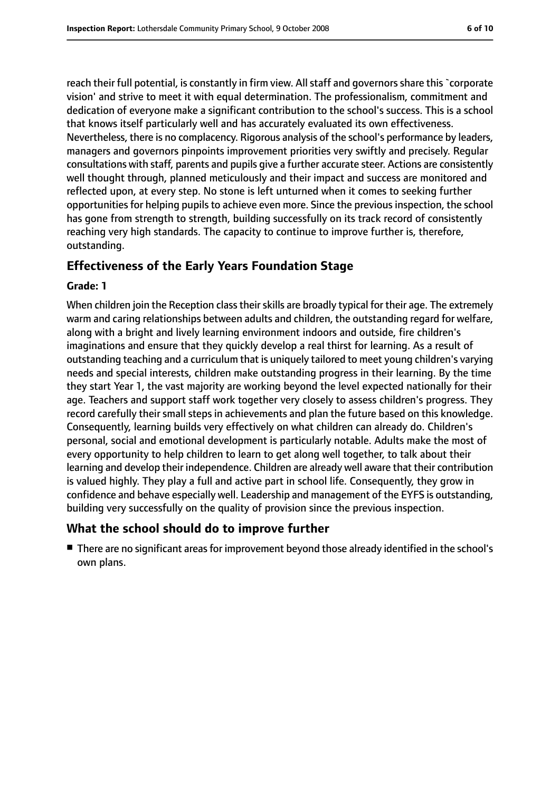reach their full potential, is constantly in firm view. All staff and governors share this `corporate vision' and strive to meet it with equal determination. The professionalism, commitment and dedication of everyone make a significant contribution to the school's success. This is a school that knows itself particularly well and has accurately evaluated its own effectiveness. Nevertheless, there is no complacency. Rigorous analysis of the school's performance by leaders, managers and governors pinpoints improvement priorities very swiftly and precisely. Regular consultations with staff, parents and pupils give a further accurate steer. Actions are consistently well thought through, planned meticulously and their impact and success are monitored and reflected upon, at every step. No stone is left unturned when it comes to seeking further opportunities for helping pupils to achieve even more. Since the previous inspection, the school has gone from strength to strength, building successfully on its track record of consistently reaching very high standards. The capacity to continue to improve further is, therefore, outstanding.

### **Effectiveness of the Early Years Foundation Stage**

#### **Grade: 1**

When children join the Reception class their skills are broadly typical for their age. The extremely warm and caring relationships between adults and children, the outstanding regard for welfare, along with a bright and lively learning environment indoors and outside, fire children's imaginations and ensure that they quickly develop a real thirst for learning. As a result of outstanding teaching and a curriculum that is uniquely tailored to meet young children's varying needs and special interests, children make outstanding progress in their learning. By the time they start Year 1, the vast majority are working beyond the level expected nationally for their age. Teachers and support staff work together very closely to assess children's progress. They record carefully their small steps in achievements and plan the future based on this knowledge. Consequently, learning builds very effectively on what children can already do. Children's personal, social and emotional development is particularly notable. Adults make the most of every opportunity to help children to learn to get along well together, to talk about their learning and develop their independence. Children are already well aware that their contribution is valued highly. They play a full and active part in school life. Consequently, they grow in confidence and behave especially well. Leadership and management of the EYFS is outstanding, building very successfully on the quality of provision since the previous inspection.

#### **What the school should do to improve further**

■ There are no significant areas for improvement beyond those already identified in the school's own plans.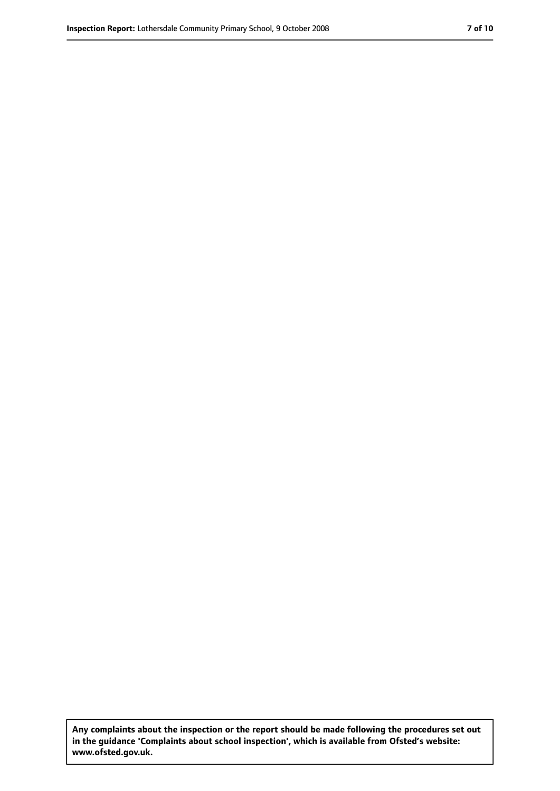**Any complaints about the inspection or the report should be made following the procedures set out in the guidance 'Complaints about school inspection', which is available from Ofsted's website: www.ofsted.gov.uk.**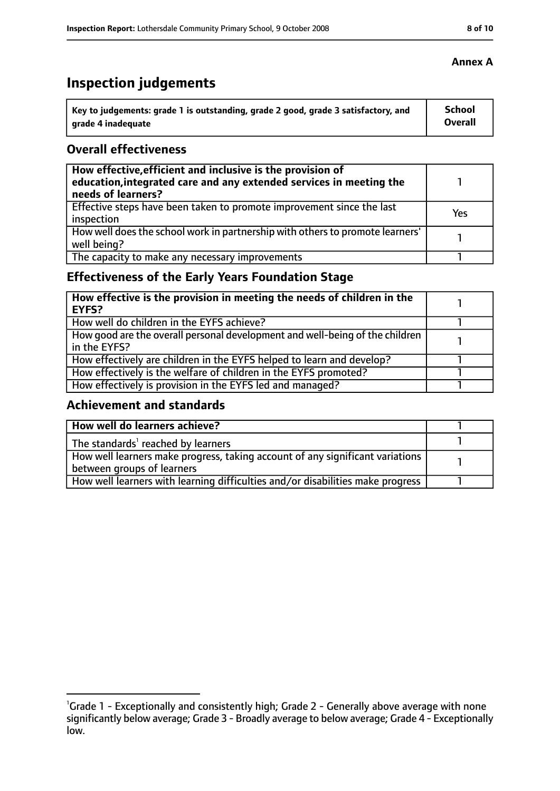# **Inspection judgements**

| Key to judgements: grade 1 is outstanding, grade 2 good, grade 3 satisfactory, and | <b>School</b> |
|------------------------------------------------------------------------------------|---------------|
| arade 4 inadequate                                                                 | Overall       |

### **Overall effectiveness**

| How effective, efficient and inclusive is the provision of<br>education, integrated care and any extended services in meeting the<br>needs of learners? |     |
|---------------------------------------------------------------------------------------------------------------------------------------------------------|-----|
| Effective steps have been taken to promote improvement since the last<br>inspection                                                                     | Yes |
| How well does the school work in partnership with others to promote learners'<br>well being?                                                            |     |
| The capacity to make any necessary improvements                                                                                                         |     |

### **Effectiveness of the Early Years Foundation Stage**

| How effective is the provision in meeting the needs of children in the<br><b>EYFS?</b>       |  |
|----------------------------------------------------------------------------------------------|--|
| How well do children in the EYFS achieve?                                                    |  |
| How good are the overall personal development and well-being of the children<br>in the EYFS? |  |
| How effectively are children in the EYFS helped to learn and develop?                        |  |
| How effectively is the welfare of children in the EYFS promoted?                             |  |
| How effectively is provision in the EYFS led and managed?                                    |  |

### **Achievement and standards**

| How well do learners achieve?                                                               |  |
|---------------------------------------------------------------------------------------------|--|
| $\vert$ The standards <sup>1</sup> reached by learners                                      |  |
| $\mid$ How well learners make progress, taking account of any significant variations $\mid$ |  |
| between groups of learners                                                                  |  |
| How well learners with learning difficulties and/or disabilities make progress              |  |

<sup>&</sup>lt;sup>1</sup>Grade 1 - Exceptionally and consistently high; Grade 2 - Generally above average with none significantly below average; Grade 3 - Broadly average to below average; Grade 4 - Exceptionally low.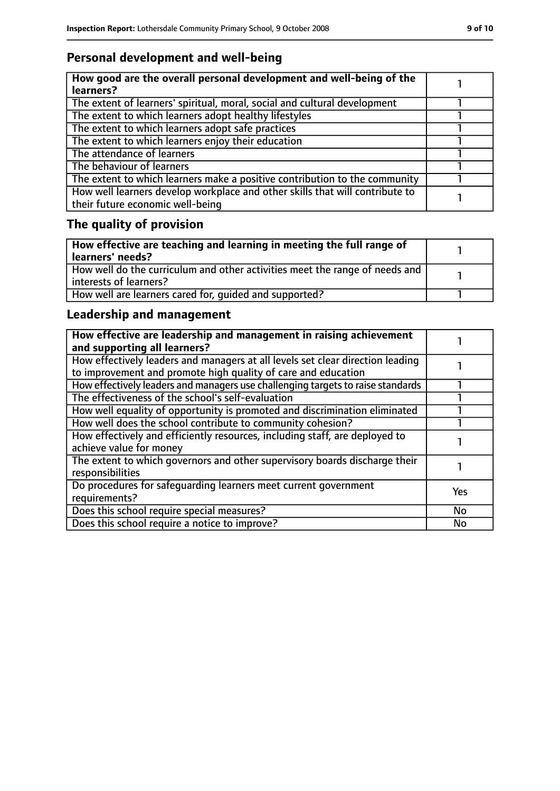### **Personal development and well-being**

| How good are the overall personal development and well-being of the<br>learners? |  |
|----------------------------------------------------------------------------------|--|
|                                                                                  |  |
| The extent of learners' spiritual, moral, social and cultural development        |  |
| The extent to which learners adopt healthy lifestyles                            |  |
| The extent to which learners adopt safe practices                                |  |
| The extent to which learners enjoy their education                               |  |
| The attendance of learners                                                       |  |
| The behaviour of learners                                                        |  |
| The extent to which learners make a positive contribution to the community       |  |
| How well learners develop workplace and other skills that will contribute to     |  |
| their future economic well-being                                                 |  |

# **The quality of provision**

| How effective are teaching and learning in meeting the full range of<br>learners' needs?              |  |
|-------------------------------------------------------------------------------------------------------|--|
| How well do the curriculum and other activities meet the range of needs and<br>interests of learners? |  |
| How well are learners cared for, quided and supported?                                                |  |

### **Leadership and management**

| How effective are leadership and management in raising achievement<br>and supporting all learners?                                              |            |
|-------------------------------------------------------------------------------------------------------------------------------------------------|------------|
| How effectively leaders and managers at all levels set clear direction leading<br>to improvement and promote high quality of care and education |            |
| How effectively leaders and managers use challenging targets to raise standards                                                                 |            |
| The effectiveness of the school's self-evaluation                                                                                               |            |
| How well equality of opportunity is promoted and discrimination eliminated                                                                      |            |
| How well does the school contribute to community cohesion?                                                                                      |            |
| How effectively and efficiently resources, including staff, are deployed to<br>achieve value for money                                          |            |
| The extent to which governors and other supervisory boards discharge their<br>responsibilities                                                  |            |
| Do procedures for safequarding learners meet current government<br>requirements?                                                                | <b>Yes</b> |
| Does this school require special measures?                                                                                                      | No         |
| Does this school require a notice to improve?                                                                                                   | No         |